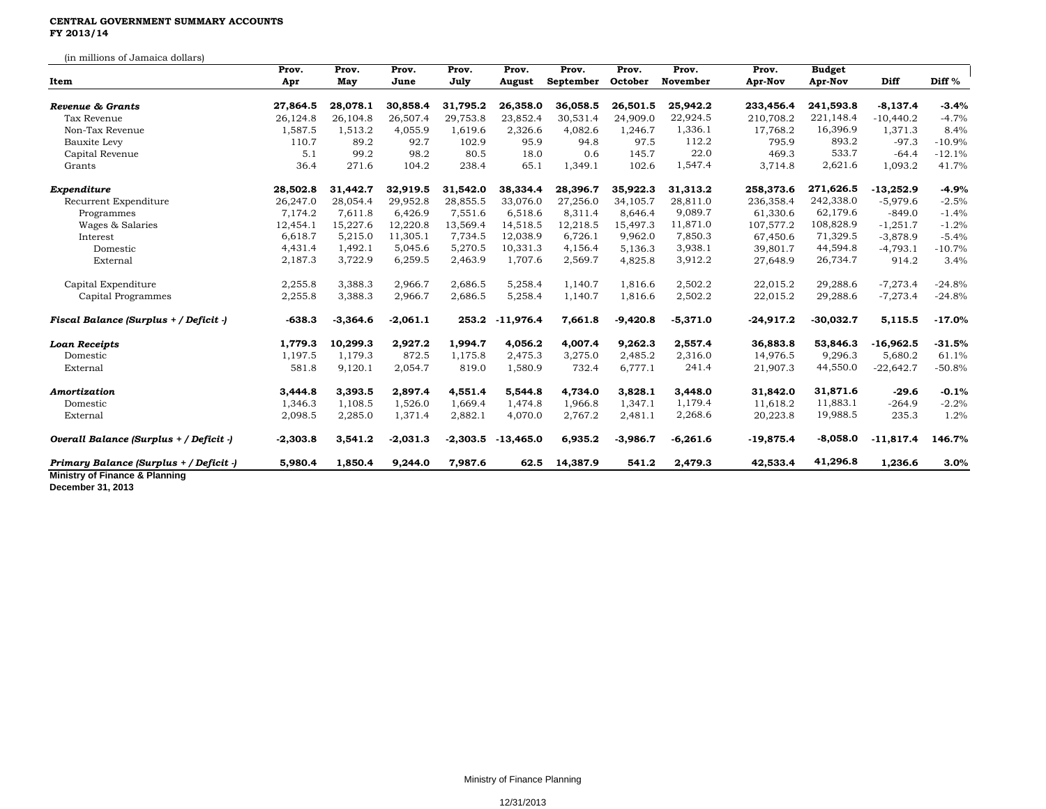## **CENTRAL GOVERNMENT SUMMARY ACCOUNTS FY 2013/14**

(in millions of Jamaica dollars) **Prov. Prov. Prov. Prov. Prov. Prov. Prov. Prov. Prov. Budget Item Apr May June July August September October November Apr-Nov Apr-Nov Diff Diff %** *Revenue & Grants* **27,864.5 28,078.1 30,858.4 31,795.2 26,358.0 36,058.5 26,501.5 25,942.2 233,456.4 241,593.8 -8,137.4 -3.4%** Tax Revenue 26,124.8 26,104.8 26,507.4 29,753.8 23,852.4 30,531.4 24,909.0 22,924.5 210,708.2 221,148.4 -10,440.2 -4.7% Non-Tax Revenue 1,587.5 1,513.2 4,055.9 1,619.6 2,326.6 4,082.6 1,246.7 1,336.1 17,768.2 16,396.9 1,371.3 8.4% Bauxite Levy 110.7 89.2 92.7 102.9 95.9 94.8 97.5 112.2 795.9 893.2 -97.3 -10.9% Capital Revenue 5.1 99.2 98.2 80.5 18.0 0.6 145.7 22.0 469.3 533.7 -64.4 -12.1% Grants 36.4 271.6 104.2 238.4 65.1 1,349.1 102.6 1,547.4 3,714.8 2,621.6 1,093.2 41.7% *Expenditure* **28,502.8 31,442.7 32,919.5 31,542.0 38,334.4 28,396.7 35,922.3 31,313.2 258,373.6 271,626.5 -13,252.9 -4.9%** Recurrent Expenditure 26,247.0 28,054.4 29,952.8 28,855.5 33,076.0 27,256.0 34,105.7 28,811.0 236,358.4 242,338.0 -5,979.6 -2.5% Programmes 7,174.2 7,611.8 6,426.9 7,551.6 6,518.6 8,311.4 8,646.4 9,089.7 61,330.6 62,179.6 -849.0 -1.4% Wages & Salaries 12,454.1 15,227.6 12,220.8 13,569.4 14,518.5 12,218.5 15,497.3 11,871.0 107,577.2 108,828.9 -1,251.7 -1.2% Interest 6,618.7 5,215.0 11,305.1 7,734.5 12,038.9 6,726.1 9,962.0 7,850.3 67,450.6 71,329.5 -3,878.9 -5.4% Domestic 4,431.4 1,492.1 5,045.6 5,270.5 10,331.3 4,156.4 5,136.3 3,938.1 39,801.7 44,594.8 -4,793.1 -10.7% External 2,187.3 3,722.9 6,259.5 2,463.9 1,707.6 2,569.7 4,825.8 3,912.2 27,648.9 26,734.7 914.2 3.4% Capital Expenditure 2,255.8 3,388.3 2,966.7 2,686.5 5,258.4 1,140.7 1,816.6 2,502.2 22,015.2 29,288.6 -7,273.4 -24.8% Capital Programmes 2,255.8 3,388.3 2,966.7 2,686.5 5,258.4 1,140.7 1,816.6 2,502.2 22,015.2 29,288.6 -7,273.4 -24.8% Fiscal Balance (Surplus + / Deficit -) 538.3 -3,364.6 -2,061.1 253.2 -11,976.4 7,661.8 -9,420.8 -5,371.0 -24,917.2 -30,032.7 5,115.5 -17.0% *Loan Receipts* **1,779.3 10,299.3 2,927.2 1,994.7 4,056.2 4,007.4 9,262.3 2,557.4 36,883.8 53,846.3 -16,962.5 -31.5%** Domestic 1,197.5 1,179.3 872.5 1,175.8 2,475.3 3,275.0 2,485.2 2,316.0 14,976.5 9,296.3 5,680.2 61.1% External 581.8 9,120.1 2,054.7 819.0 1,580.9 732.4 6,777.1 241.4 21,907.3 44,550.0 -22,642.7 -50.8% *Amortization* **3,444.8 3,393.5 2,897.4 4,551.4 5,544.8 4,734.0 3,828.1 3,448.0 31,842.0 31,871.6 -29.6 -0.1%** Domestic 1,346.3 1,108.5 1,526.0 1,669.4 1,474.8 1,966.8 1,347.1 1,179.4 11,618.2 11,883.1 -264.9 -2.2% External 2,098.5 2,285.0 1,371.4 2,882.1 4,070.0 2,767.2 2,481.1 2,268.6 20,223.8 19,988.5 235.3 1.2% Overall Balance (Surplus + / Deficit -) 303.8 3,541.2 -2,031.3 -2,303.5 -13,465.0 6,935.2 -3,986.7 -6,261.6 -19,875.4 -8,058.0 -11,817.4 146.7% *Primary Balance (Surplus + / Deficit -)* **5,980.4 1,850.4 9,244.0 7,987.6 62.5 14,387.9 541.2 2,479.3 42,533.4 41,296.8 1,236.6 3.0% Ministry of Finance & Planning**

**December 31, 2013**